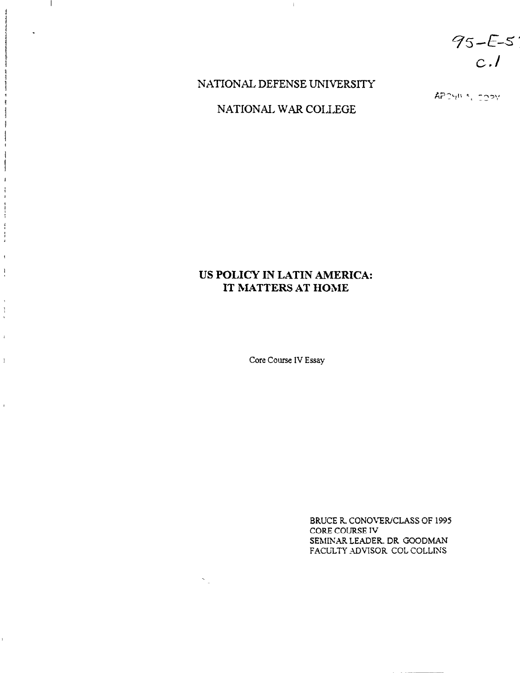$95 - E - 5$  $c.l$ 

## NATIONAL DEFENSE UNIVERSITY

 $\bar{1}$ 

 $\mathbf{I}$ 

1

 $\mathbf{1}$ 

ł  $\frac{3}{2}$  $\frac{1}{4}$ 

 $\mathfrak{g}$  $\begin{array}{c} \begin{array}{c} 1 \\ 1 \end{array} \end{array}$ 

 $\mathbf{I}$  $\frac{1}{4}$ 

 $\bar{4}$ 

 $\bar{1}$ 

 $\bar{1}$ 

ï

NATIONAL WAR COILEGE

APONNA, COPY

## US POLICY IN LATIN AMERICA: IT MATTERS AT HOME

Core Course IV Essay

 $\mathcal{S}_{\mathcal{A}}$ 

BRUCE R. CONOVER/CLASS OF 1995 CORE COURSE IV SEMINAR LEADER. DR GOODMAN FACULTY ADVISOR COL COLLINS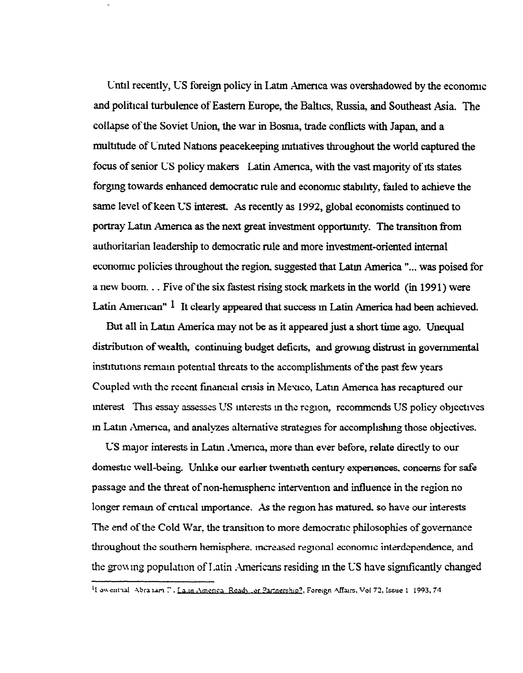Until recently, US foreign policy in Latin America was overshadowed by the economic and political turbulence of Eastern Europe, the Baltics, Russia, and Southeast Asia. The collapse of the Soviet Union, the war in Bosnia, trade conflicts with Japan, and a multitude of United Nations peacekeeping initiatives throughout the world captured the focus of senior US policy makers Latin America, with the vast majority of its states forging towards enhanced democratic rule and economic stability, failed to achieve the same level of keen US interest. As recently as 1992, global economists continued to portray Latin America as the next great investment opportunity. The transition from authoritarian leadership to democratic rule and more investment-oriented internal economic policies throughout the region, suggested that Latin America "... was poised for a new boom... Five of the six fastest rising stock markets in the world (in 1991) were Latin American" <sup>1</sup> It clearly appeared that success in Latin America had been achieved.

But all in Latin America may not be as it appeared just a short time ago. Unequal distribution of wealth, continuing budget deficits, and growing distrust in governmental institutions remain potential threats to the accomplishments of the past few years Coupled with the recent financial crists in Mexico, Latin America has recaptured our interest This essay assesses US interests in the region, recommends US policy objectives in Latin America, and analyzes alternative strategies for accomplishing those objectives.

US major interests in Latin America, more than ever before, relate directly to our domestic well-being. Unlike our earlier twentieth century experiences, concerns for safe passage and the threat of non-hemispheric intervention and influence in the region no longer remain of critical importance. As the region has matured, so have our interests The end of the Cold War, the transition to more democratic philosophies of governance throughout the southern hemisphere, increased regional economic interdependence, and the growing population of Latin Americans residing in the US have significantly changed

<sup>&</sup>lt;sup>1</sup>I owenthal Abraham T. Lalin America Ready or Partnership?, Foreign Affairs, Vol 72, Issue 1 1993, 74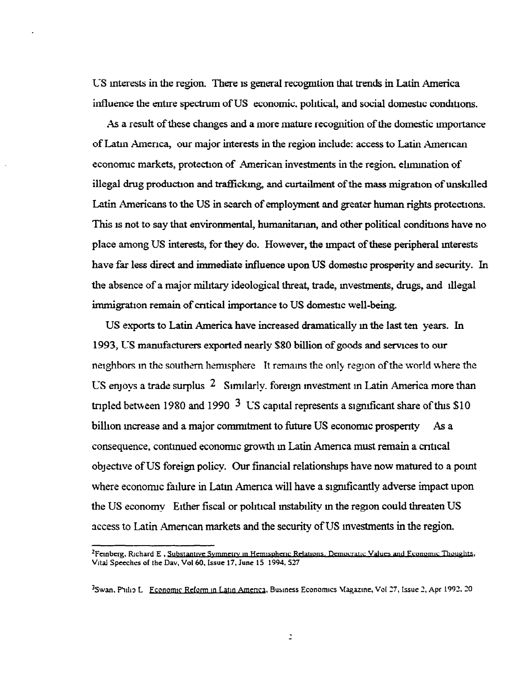US interests in the region. There is general recognition that trends in Latin America influence the entire spectrum of US economic, political, and social domestic conditions.

As a result of these changes and a more mature recognition of the domestic importance of Latin America, our major interests in the region include: access to Latin American economic markets, protection of American investments in the region, elimination of illegal drug production and trafficking, and curtailment of the mass migration of unskilled Latin Americans to the US in search of employment and greater human rights protections. This is not to say that environmental, humanitarian, and other political conditions have no place among US interests, for they do. However, the impact of these peripheral interests have far less direct and immediate influence upon US domestic prosperity and security. In the absence of a major military ideological threat, trade, investments, drugs, and illegal immigration remain of critical importance to US domestic well-being.

US exports to Latin America have increased dramatically in the last ten years. In 1993, US manufacturers exported nearly \$80 billion of goods and services to our neighbors in the southern hemisphere It remains the only region of the world where the US enjovs a trade surplus <sup>2</sup> Similarly, foreign investment in Latin America more than tripled between 1980 and 1990  $3\text{ US capital represents a significant share of this }$ \$10 billion increase and a major commitment to future US economic prosperity As a consequence, continued economic growth in Latin America must remain a critical objective of US foreign policy. Our financial relationships have now matured to a point where economic failure in Latin America will have a significantly adverse impact upon the US economy Either fiscal or political instability in the region could threaten US access to Latin American markets and the security of US investments in the region.

 $\mathbb{D}$ 

<sup>&</sup>lt;sup>2</sup>Femberg, Richard E, Substantive Symmetry in Hemispheric Relations, Democratic Values and Economic Thoughts, Vital Speeches of the Dav, Vol 60, Issue 17, June 15 1994, 527

<sup>&</sup>lt;sup>3</sup>Swan, Philip L Economic Reform in Latin America, Business Economics Magazine, Vol 27, Issue 2, Apr 1992, 20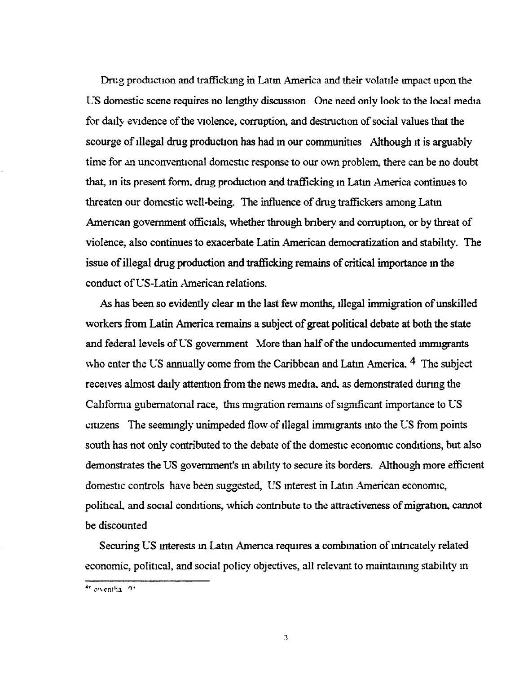Drug production and trafficking in Latin America and their volatile impact upon the US domestic scene requires no lengthy discussion One need only look to the local media for daily evidence of the violence, corruption, and destruction of social values that the scourge of illegal drug production has had in our communities Although it is arguably time for an unconventional domestic response to our own problem, there can be no doubt that, in its present form, drug production and trafficking in Latin America continues to threaten our domestic well-being. The influence of drug traffickers among Latin American government officials, whether through bribery and corruption, or by threat of violence, also continues to exacerbate Latin American democratization and stability. The issue of illegal drug production and trafficking remains of critical importance in the conduct of US-Latin American relations.

As has been so evidently clear in the last few months, illegal immigration of unskilled workers from Latin America remains a subject of great political debate at both the state and federal levels of US government More than half of the undocumented immigrants who enter the US annually come from the Caribbean and Latin America. <sup>4</sup> The subject receives almost daily attention from the news media, and, as demonstrated during the California gubernatorial race, this migration remains of significant importance to US citizens The seemingly unimpeded flow of illegal immigrants into the US from points south has not only contributed to the debate of the domestic economic conditions, but also demonstrates the US government's in ability to secure its borders. Although more efficient domestic controls have been suggested, US interest in Latin American economic, political, and social conditions, which contribute to the attractiveness of migration, cannot be discounted

Securing US interests in Latin America requires a combination of intricately related economic, political, and social policy objectives, all relevant to maintaining stability in

<sup>4</sup>r owentha 91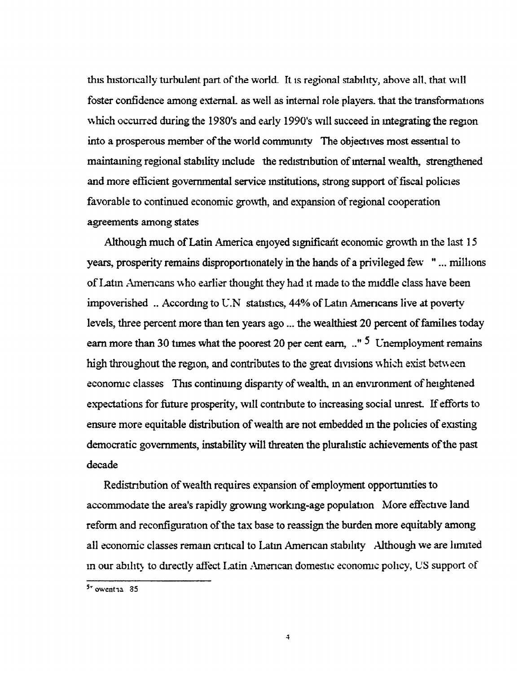this historically turbulent part of the world. It is regional stability, above all, that will foster confidence among external, as well as internal role players, that the transformations which occurred during the 1980's and early 1990's will succeed in integrating the region into a prosperous member of the world community The objectives most essential to maintainng regional stability include the redistribution of internal wealth, strengthened and more efficient governmental service institutions, strong support of fiscal policies favorable to continued economic growth, and expansion of regional cooperation agreements among states

Although much of Latin America enjoyed significant economic growth in the last 15 years, prosperity remains disproportionately in the hands of a privileged few "... millions" of Latin Americans who earlier thought they had it made to the middle class have been impoverished ... According to U.N statistics, 44% of Latin Americans live at poverty levels, three percent more than ten years ago ... the wealthiest 20 percent of families today earn more than 30 times what the poorest 20 per cent earn,  $\cdot$ <sup>5</sup> Unemployment remains high throughout the region, and contributes to the great divisions which exist between economic classes This continuing disparity of wealth, in an environment of heightened expectations for future prosperity, will contribute to increasing social unrest. If efforts to ensure more equitable distribution of wealth are not embedded in the policies of existing democratic governments, instability will threaten the pluralistic achievements of the past decade

Redistribution of wealth requires expansion of employment opportunities to accommodate the area's rapidly growing working-age population More effective land reform and reconfiguration of the tax base to reassign the burden more equitably among all economic classes remain critical to Latin American stability Although we are limited in our ability to directly affect Latin American domestic economic policy, US support of

 $5 -$  owent 1a  $35$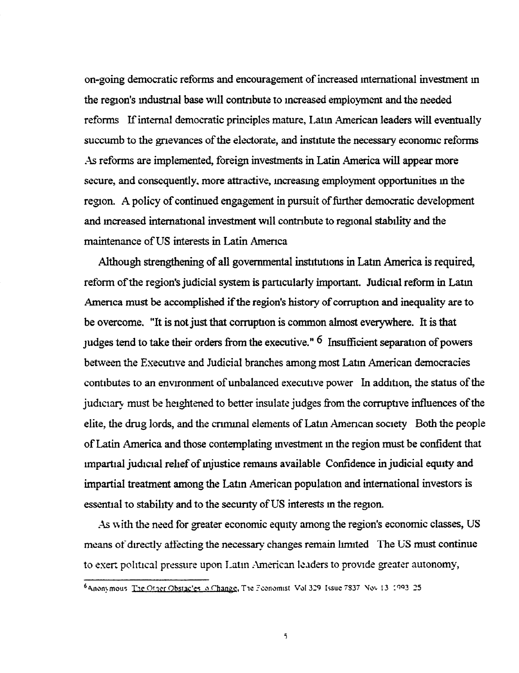on-going democratic reforms and encouragement of increased international investment in the region's industrial base will contribute to increased employment and the needed reforms If internal democratic principles mature, Latin American leaders will eventually succumb to the grievances of the electorate, and institute the necessary economic reforms As reforms are implemented, foreign investments in Latin America will appear more secure, and consequently, more attractive, increasing employment opportunities in the region. A policy of continued engagement in pursuit of further democratic development and increased international investment will contribute to regional stability and the maintenance of US interests in Latin America

Although strengthening of all governmental institutions in Latin America is required, reform of the region's judicial system is particularly important. Judicial reform in Latin America must be accomplished if the region's history of corruption and inequality are to be overcome. "It is not just that corruption is common almost everywhere. It is that judges tend to take their orders from the executive."  $6$  Insufficient separation of powers between the Executive and Judicial branches among most Latin American democracies contibutes to an environment of unbalanced executive power In addition, the status of the judictary must be heightened to better insulate judges from the corruptive influences of the elite, the drug lords, and the criminal elements of Latin American society Both the people of Latin America and those contemplating investment in the region must be confident that impartial judicial relief of injustice remains available Confidence in judicial equity and impartial treatment among the Latin American population and international investors is essential to stability and to the security of US interests in the region.

As with the need for greater economic equity among the region's economic classes, US means of directly affecting the necessary changes remain limited The US must continue to exert political pressure upon Latin American leaders to provide greater autonomy,

<sup>6</sup> Anonymous The Other Obstacles in Change, The Feonomist Vol 329 Issue 7837 Nov 13 1993 25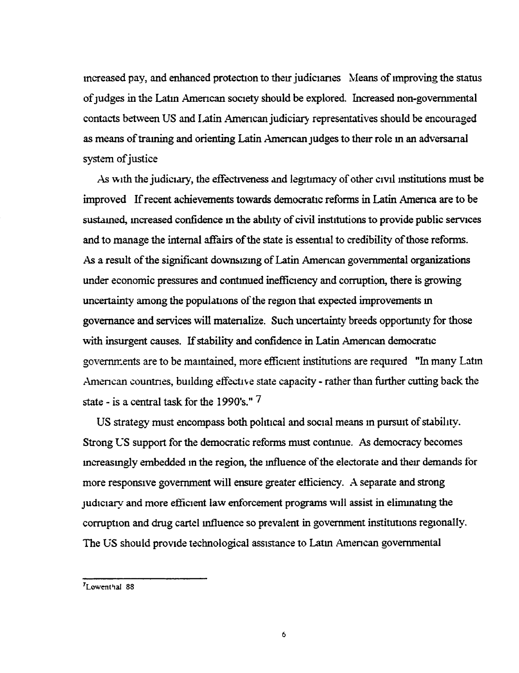increased pay, and enhanced protection to their judiciaries Means of improving the status of judges in the Latin American society should be explored. Increased non-governmental contacts between US and Latin American judiciary representatives should be encouraged as means of training and orienting Latin American judges to their role in an adversarial system of justice

As with the judiciary, the effectiveness and legitimacy of other civil institutions must be improved If recent achievements towards democratic reforms in Latin America are to be sustained, increased confidence in the ability of civil institutions to provide public services and to manage the internal affairs of the state is essential to credibility of those reforms. As a result of the significant downsizing of Latin American governmental organizations under economic pressures and continued inefficiency and corruption, there is growing uncertainty among the populations of the region that expected improvements in governance and services will matenalize. Such uncertainty breeds opportumty for those with insurgent causes. If stability and confidence in Latin American democratic governments are to be maintained, more efficient institutions are required "In many Latin American countries, building effective state capacity - rather than further cutting back the state - is a central task for the 1990's." 7

US strategy must encompass both political and social means in pursuit of stability. Strong US support for the democratic reforms must continue. As democracy becomes mcreasmgly embedded in the region, the influence of the electorate and theu demands for more responsive government will ensure greater efficiency. A separate and strong judiciary and more efficient law enforcement programs will assist in elimmnatmg the corruption and drug cartel influence so prevalent in government institutions regionally. The US should provide technological assistance to Latm Amencan governmental

<sup>&</sup>lt;sup>7</sup>Lowenthal 88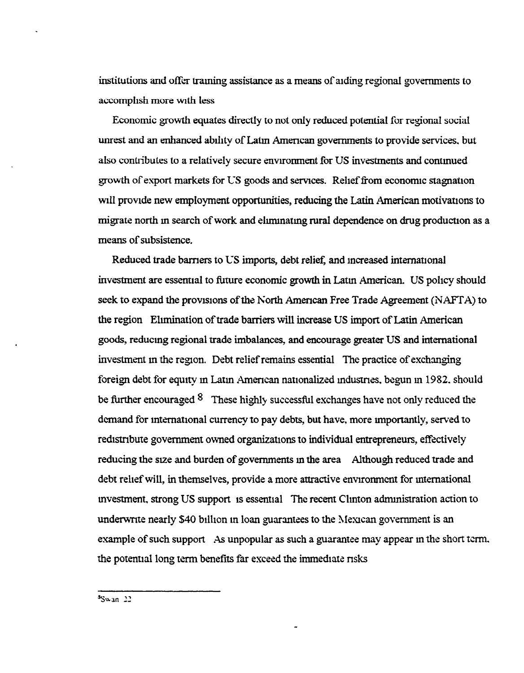institutions and offer traming assistance as a means of aiding regional governments to accomplish more with less

Economic growth equates directly to not only reduced potential for regional social unrest and an enhanced ability of Latin American governments to provide services, but also contributes to a relatively secure envrronment for US investments and contmued growth of export markets for US goods and servtces. Relief from economic stagnation will provide new employment opportunities, reducing the Latin American motivations to migrate north in search of work and eliminating rural dependence on drug production as a means of subsistence.

Reduced trade barriers to US imports, debt relief, and increased international investment are essentral to future economic growth in Latm American. US polrcy should seek to expand the provisions of the North American Free Trade Agreement (NAFTA) to the region Ehmination of trade barriers will increase US import of Latin American goods, reducing regional trade imbalances, and encourage greater US and international investment in the region. Debt relief remains essential The practice of exchanging foreign debt for equity in Latin American nationalized industries, begun in 1982, should be further encouraged  $8$  These highly successful exchanges have not only reduced the demand for international currency to pay debts, but have, more importantly, served to redrstrrbute government owned organizations to individual entrepreneurs, effectively reducing the size and burden of governments in the area Although reduced trade and debt relief will, in themselves, provide a more attractive environment for international mvestment, strong US support is essential The recent Chnton admmistration action to underwrite nearly \$40 billion in loan guarantees to the Mexican government is an example of such support As unpopular as such a guarantee may appear in the short term. the potential long term benefits far exceed the immediate risks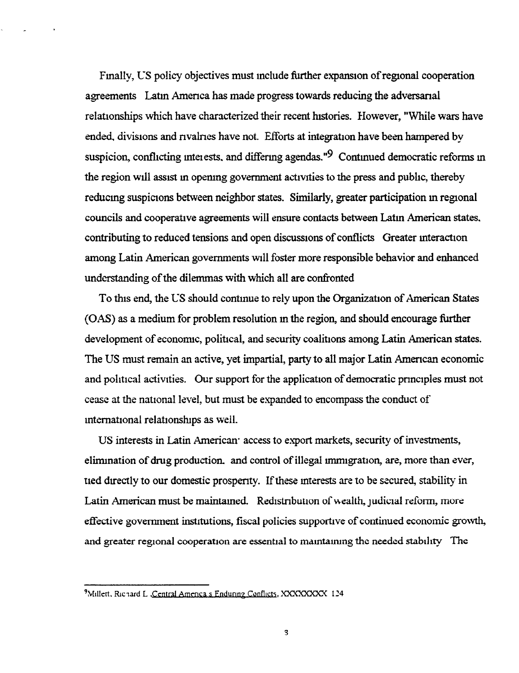Finally, US policy objectives must include further expansion of regional cooperation agreements Latin America has made progress towards reducing the adversanal relationships which have characterized their recent histories. However, "While wars have ended, divisions and nvalries have not. Efforts at integration have been hampered by suspicion, conflicting interests, and differing agendas." $9$  Continued democratic reforms in the region will assist in opening government activities to the press and public, thereby reducing suspicions between neighbor states. Similarly, greater participation in regional councils and cooperative agreements will ensure contacts between Latm American states. contributing to reduced tensions and open discussions of conflicts Greater interaction among Latin American governments will foster more responsible behavior and enhanced understanding of the dilemmas with which all are confronted

To this end, the US should contmue to rely upon the Organizatron of American States (OAS) as a medium for problem resolution in the region, and should encourage further development of economic, political, and security coalitions among Latin American states. The US must remain an active, yet impartial, party to all major Latin Amertcan economic and political activities. Our support for the application of democratic principles must not cease at the natronal level, but must be expanded to encompass the conduct of international relationships as well.

US interests in Latin American access to export markets, security of investments, elimination of drug production, and control of illegal immigration, are, more than ever, tied dtrectly to our domestic prosperrty. If these mterests are to be secured, stability in Latin American must be maintamed. Redistribution of wealth, judicial reform, more effective government institutions, fiscal policies supportive of continued economic growth, and greater regional cooperation are essential to maintaining the needed stability The

<sup>&</sup>lt;sup>9</sup>Millett, Richard L. Central America's Enduring Conflicts, XXXXXXXXX 124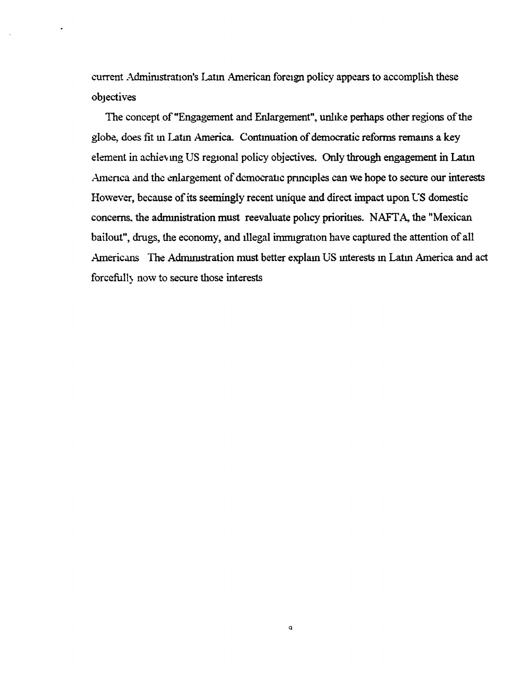current Administration's Latin American foreign policy appears to accomplish these objectives

 $\ddot{\phantom{1}}$ 

The concept of "Engagement and Enlargement", unlike perhaps other regions of the globe, does fit in Latin America. Continuation of democratic reforms remains a key element in achieving US regional policy objectives. Only through engagement in Latin America and the enlargement of democratic principles can we hope to secure our interests However, because of its seemingly recent unique and direct impact upon US domestic concerns, the administration must reevaluate policy priorities. NAFTA, the "Mexican bailout", drugs, the economy, and illegal immigration have captured the attention of all Americans The Administration must better explain US interests in Latin America and act forcefully now to secure those interests